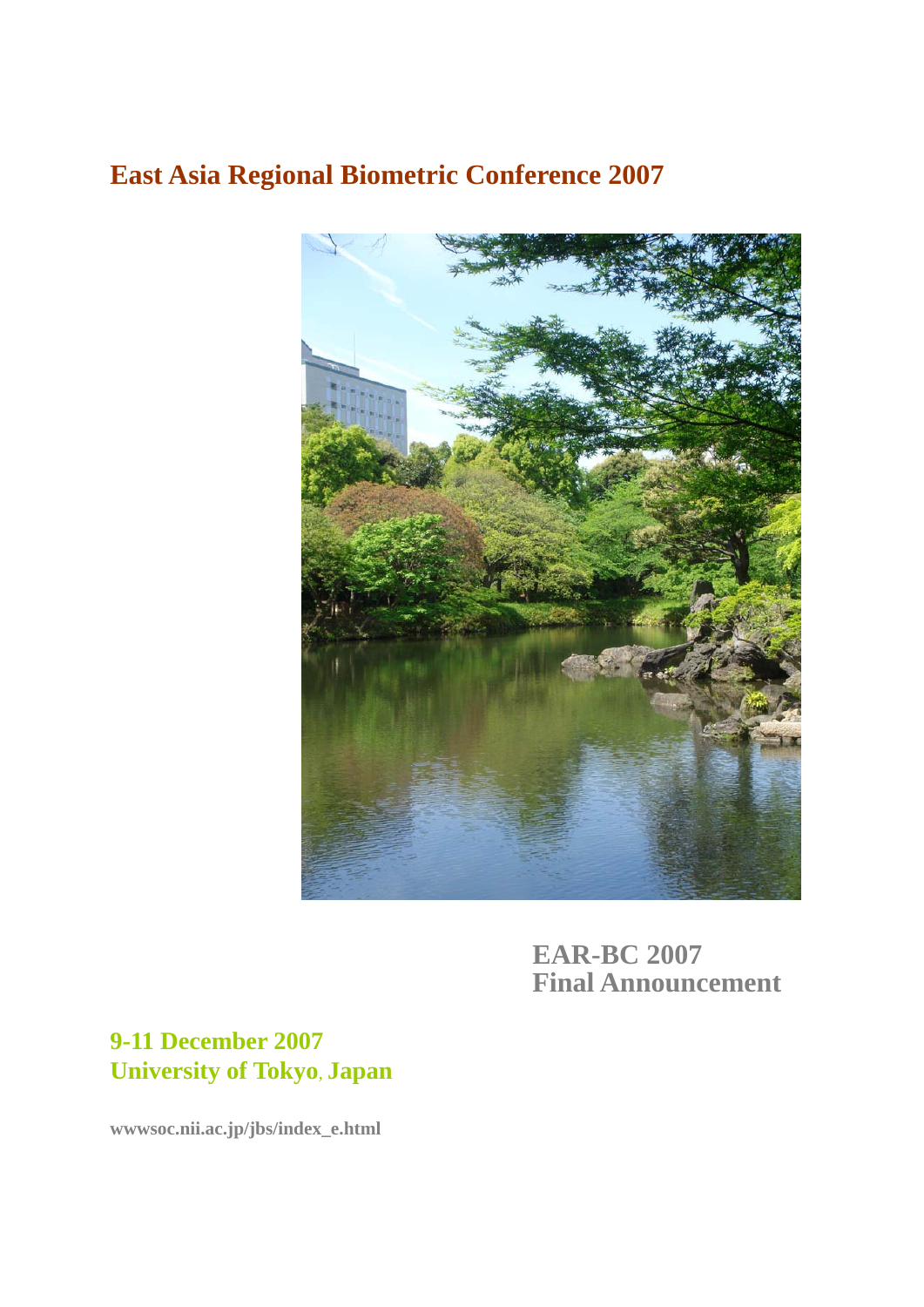# **East Asia Regional Biometric Conference 2007**



**EAR-BC 2007 Final Announcement** 

# **9-11 December 2007 University of Tokyo**, **Japan**

**wwwsoc.nii.ac.jp/jbs/index\_e.html**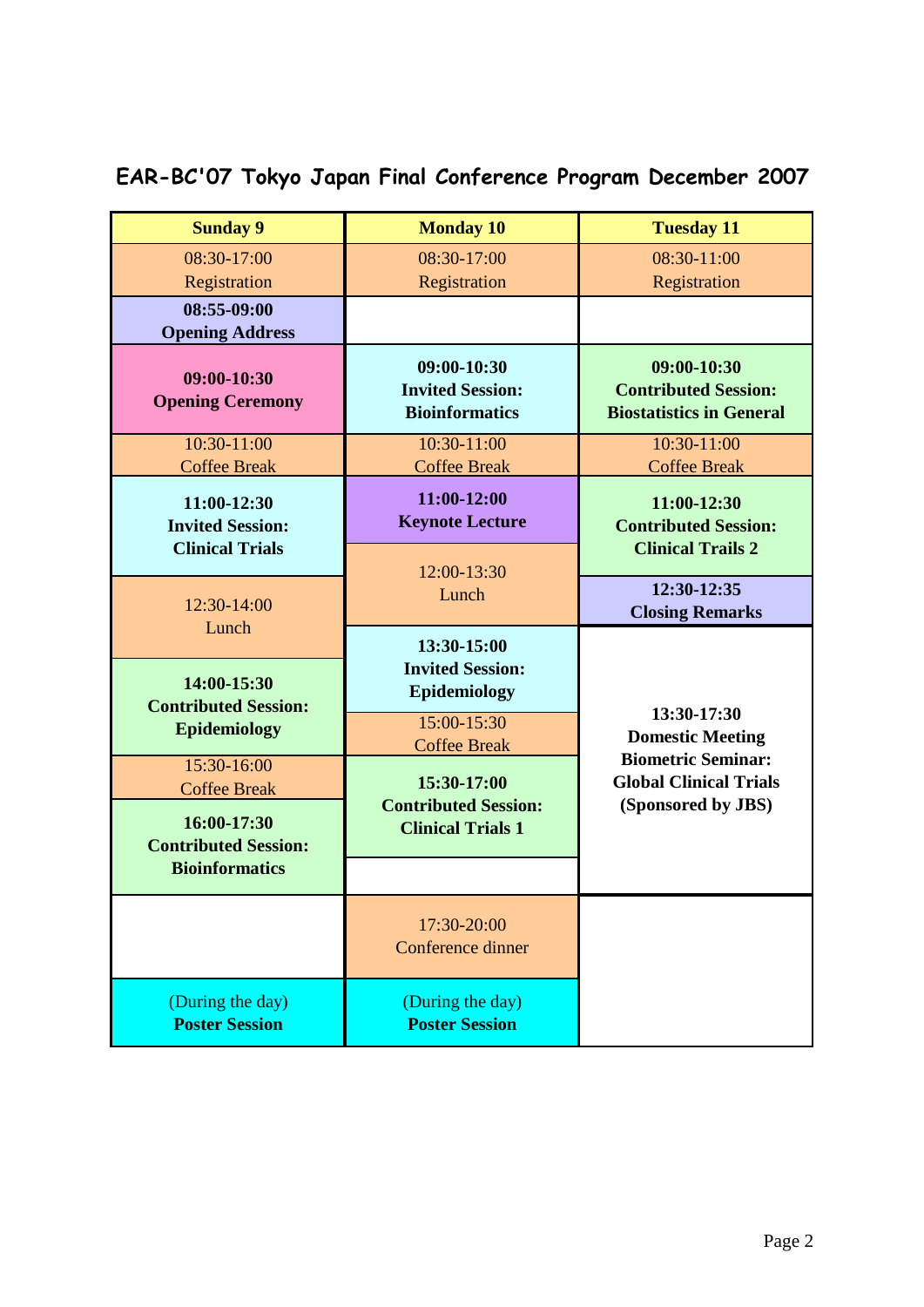# **EAR-BC'07 Tokyo Japan Final Conference Program December 2007**

| <b>Sunday 9</b>                                                   | <b>Monday 10</b>                                                                             | <b>Tuesday 11</b>                                                                |  |
|-------------------------------------------------------------------|----------------------------------------------------------------------------------------------|----------------------------------------------------------------------------------|--|
| 08:30-17:00<br>Registration                                       | 08:30-17:00<br>Registration                                                                  | 08:30-11:00<br>Registration                                                      |  |
| 08:55-09:00<br><b>Opening Address</b>                             |                                                                                              |                                                                                  |  |
| 09:00-10:30<br><b>Opening Ceremony</b>                            | 09:00-10:30<br><b>Invited Session:</b><br><b>Bioinformatics</b>                              | 09:00-10:30<br><b>Contributed Session:</b><br><b>Biostatistics in General</b>    |  |
| 10:30-11:00<br><b>Coffee Break</b>                                | 10:30-11:00<br><b>Coffee Break</b>                                                           | 10:30-11:00<br><b>Coffee Break</b>                                               |  |
| 11:00-12:30<br><b>Invited Session:</b><br><b>Clinical Trials</b>  | 11:00-12:00<br><b>Keynote Lecture</b><br>12:00-13:30                                         | 11:00-12:30<br><b>Contributed Session:</b><br><b>Clinical Trails 2</b>           |  |
| 12:30-14:00<br>Lunch                                              | Lunch                                                                                        | 12:30-12:35<br><b>Closing Remarks</b>                                            |  |
| 14:00-15:30<br><b>Contributed Session:</b><br><b>Epidemiology</b> | 13:30-15:00<br><b>Invited Session:</b><br>Epidemiology<br>15:00-15:30<br><b>Coffee Break</b> | 13:30-17:30<br><b>Domestic Meeting</b>                                           |  |
| $15:30-16:00$<br><b>Coffee Break</b><br>16:00-17:30               | 15:30-17:00<br><b>Contributed Session:</b><br><b>Clinical Trials 1</b>                       | <b>Biometric Seminar:</b><br><b>Global Clinical Trials</b><br>(Sponsored by JBS) |  |
| <b>Contributed Session:</b><br><b>Bioinformatics</b>              |                                                                                              |                                                                                  |  |
|                                                                   | 17:30-20:00<br>Conference dinner                                                             |                                                                                  |  |
| (During the day)<br><b>Poster Session</b>                         | (During the day)<br><b>Poster Session</b>                                                    |                                                                                  |  |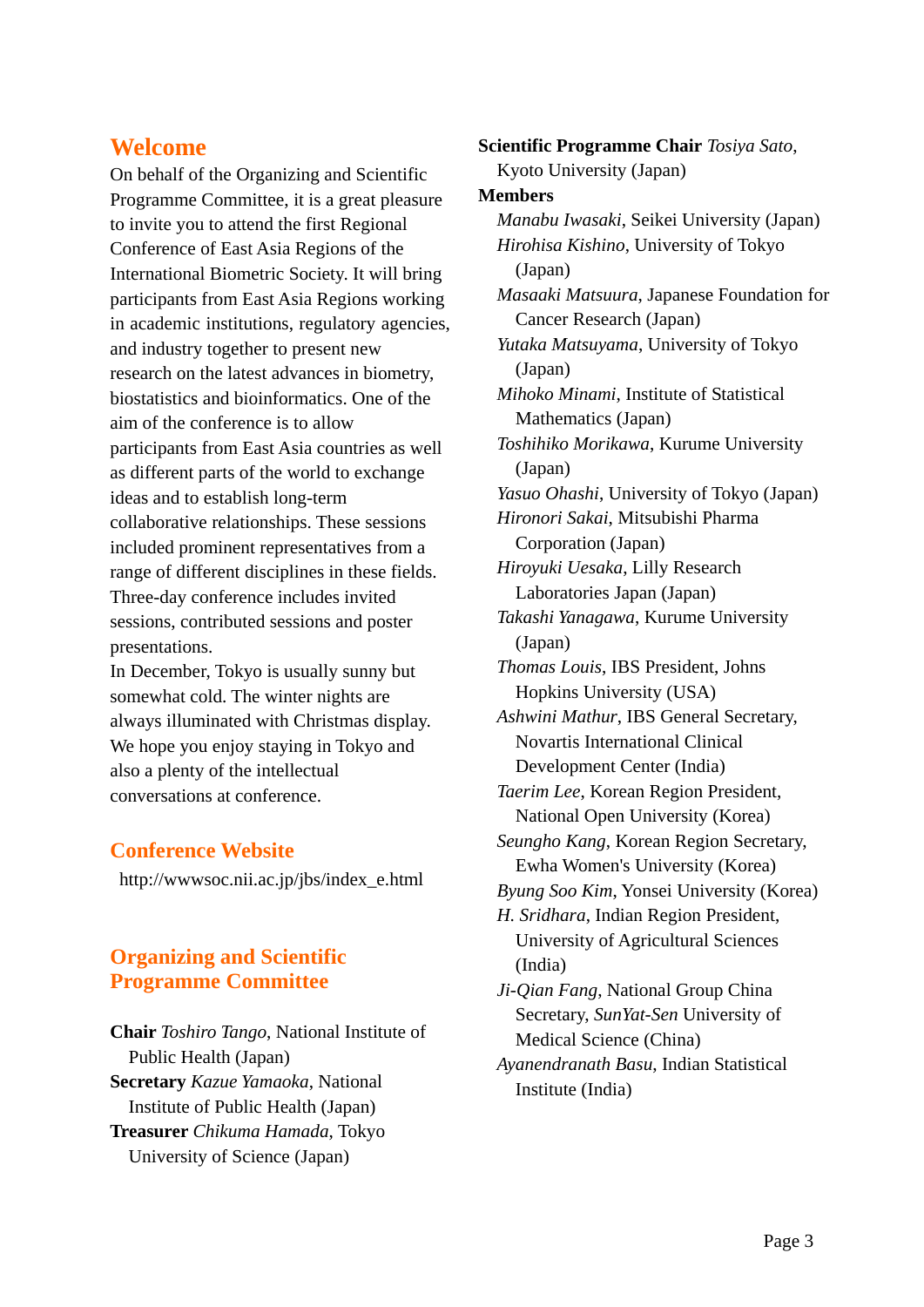## **Welcome**

On behalf of the Organizing and Scientific Programme Committee, it is a great pleasure to invite you to attend the first Regional Conference of East Asia Regions of the International Biometric Society. It will bring participants from East Asia Regions working in academic institutions, regulatory agencies, and industry together to present new research on the latest advances in biometry, biostatistics and bioinformatics. One of the aim of the conference is to allow participants from East Asia countries as well as different parts of the world to exchange ideas and to establish long-term collaborative relationships. These sessions included prominent representatives from a range of different disciplines in these fields. Three-day conference includes invited sessions, contributed sessions and poster presentations.

In December, Tokyo is usually sunny but somewhat cold. The winter nights are always illuminated with Christmas display. We hope you enjoy staying in Tokyo and also a plenty of the intellectual conversations at conference.

### **Conference Website**

http://wwwsoc.nii.ac.jp/jbs/index\_e.html

## **Organizing and Scientific Programme Committee**

**Chair** *Toshiro Tango*, National Institute of Public Health (Japan) **Secretary** *Kazue Yamaoka*, National Institute of Public Health (Japan) **Treasurer** *Chikuma Hamada*, Tokyo University of Science (Japan)

**Scientific Programme Chair** *Tosiya Sato*, Kyoto University (Japan)

#### **Members**

*Manabu Iwasaki*, Seikei University (Japan) *Hirohisa Kishino*, University of Tokyo (Japan) *Masaaki Matsuura*, Japanese Foundation for Cancer Research (Japan) *Yutaka Matsuyama*, University of Tokyo (Japan) *Mihoko Minami*, Institute of Statistical Mathematics (Japan) *Toshihiko Morikawa*, Kurume University (Japan) *Yasuo Ohashi*, University of Tokyo (Japan) *Hironori Sakai*, Mitsubishi Pharma Corporation (Japan) *Hiroyuki Uesaka*, Lilly Research Laboratories Japan (Japan) *Takashi Yanagawa*, Kurume University (Japan) *Thomas Louis*, IBS President, Johns Hopkins University (USA) *Ashwini Mathur*, IBS General Secretary, Novartis International Clinical Development Center (India) *Taerim Lee*, Korean Region President, National Open University (Korea) *Seungho Kang*, Korean Region Secretary, Ewha Women's University (Korea) *Byung Soo Kim*, Yonsei University (Korea) *H. Sridhara*, Indian Region President, University of Agricultural Sciences (India) *Ji-Qian Fang*, National Group China Secretary, *SunYat-Sen* University of Medical Science (China)

*Ayanendranath Basu*, Indian Statistical Institute (India)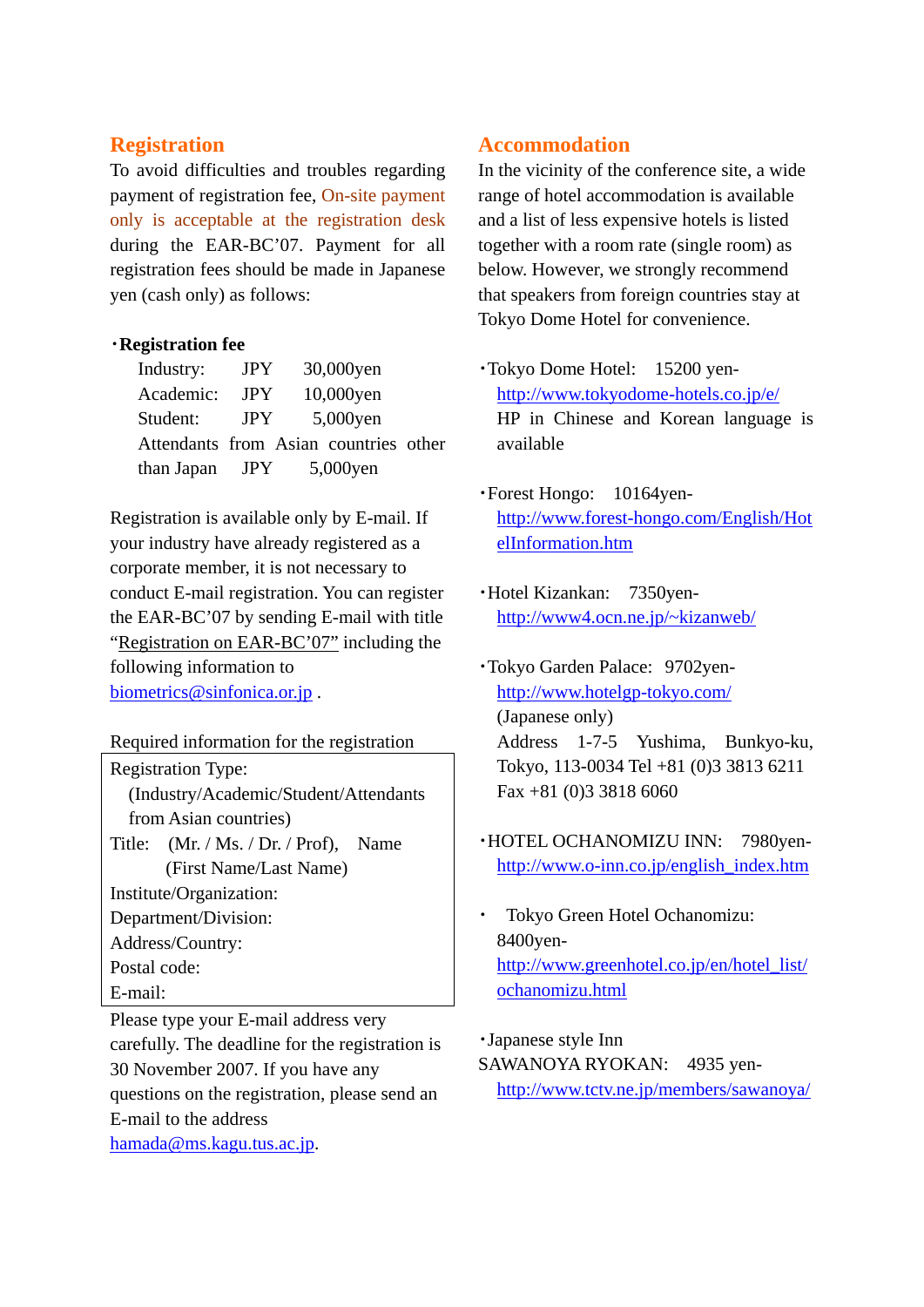#### **Registration**

To avoid difficulties and troubles regarding payment of registration fee, On-site payment only is acceptable at the registration desk during the EAR-BC'07. Payment for all registration fees should be made in Japanese yen (cash only) as follows:

#### ・**Registration fee**

| Industry:  | <b>JPY</b> | 30,000yen                             |  |
|------------|------------|---------------------------------------|--|
| Academic:  | <b>JPY</b> | 10,000yen                             |  |
| Student:   | JPY.       | 5,000yen                              |  |
|            |            | Attendants from Asian countries other |  |
| than Japan | <b>JPY</b> | 5,000yen                              |  |

Registration is available only by E-mail. If your industry have already registered as a corporate member, it is not necessary to conduct E-mail registration. You can register the EAR-BC'07 by sending E-mail with title "Registration on EAR-BC'07" including the following information to biometrics@sinfonica.or.jp.

Required information for the registration

Registration Type:

(Industry/Academic/Student/Attendants from Asian countries)

Title: (Mr. / Ms. / Dr. / Prof), Name (First Name/Last Name)

Institute/Organization:

Department/Division:

Address/Country:

Postal code:

E-mail:

Please type your E-mail address very carefully. The deadline for the registration is 30 November 2007. If you have any questions on the registration, please send an E-mail to the address hamada@ms.kagu.tus.ac.jp.

#### **Accommodation**

In the vicinity of the conference site, a wide range of hotel accommodation is available and a list of less expensive hotels is listed together with a room rate (single room) as below. However, we strongly recommend that speakers from foreign countries stay at Tokyo Dome Hotel for convenience.

- ・Tokyo Dome Hotel: 15200 yenhttp://www.tokyodome-hotels.co.jp/e/ HP in Chinese and Korean language is available
- ・Forest Hongo: 10164yenhttp://www.forest-hongo.com/English/Hot elInformation.htm
- ・Hotel Kizankan: 7350yenhttp://www4.ocn.ne.jp/~kizanweb/
- ・Tokyo Garden Palace: 9702yenhttp://www.hotelgp-tokyo.com/ (Japanese only) Address 1-7-5 Yushima, Bunkyo-ku, Tokyo, 113-0034 Tel +81 (0)3 3813 6211 Fax +81 (0)3 3818 6060
- ・HOTEL OCHANOMIZU INN: 7980yenhttp://www.o-inn.co.jp/english\_index.htm
- Tokyo Green Hotel Ochanomizu: 8400yenhttp://www.greenhotel.co.jp/en/hotel\_list/ ochanomizu.html

・Japanese style Inn SAWANOYA RYOKAN: 4935 yenhttp://www.tctv.ne.jp/members/sawanoya/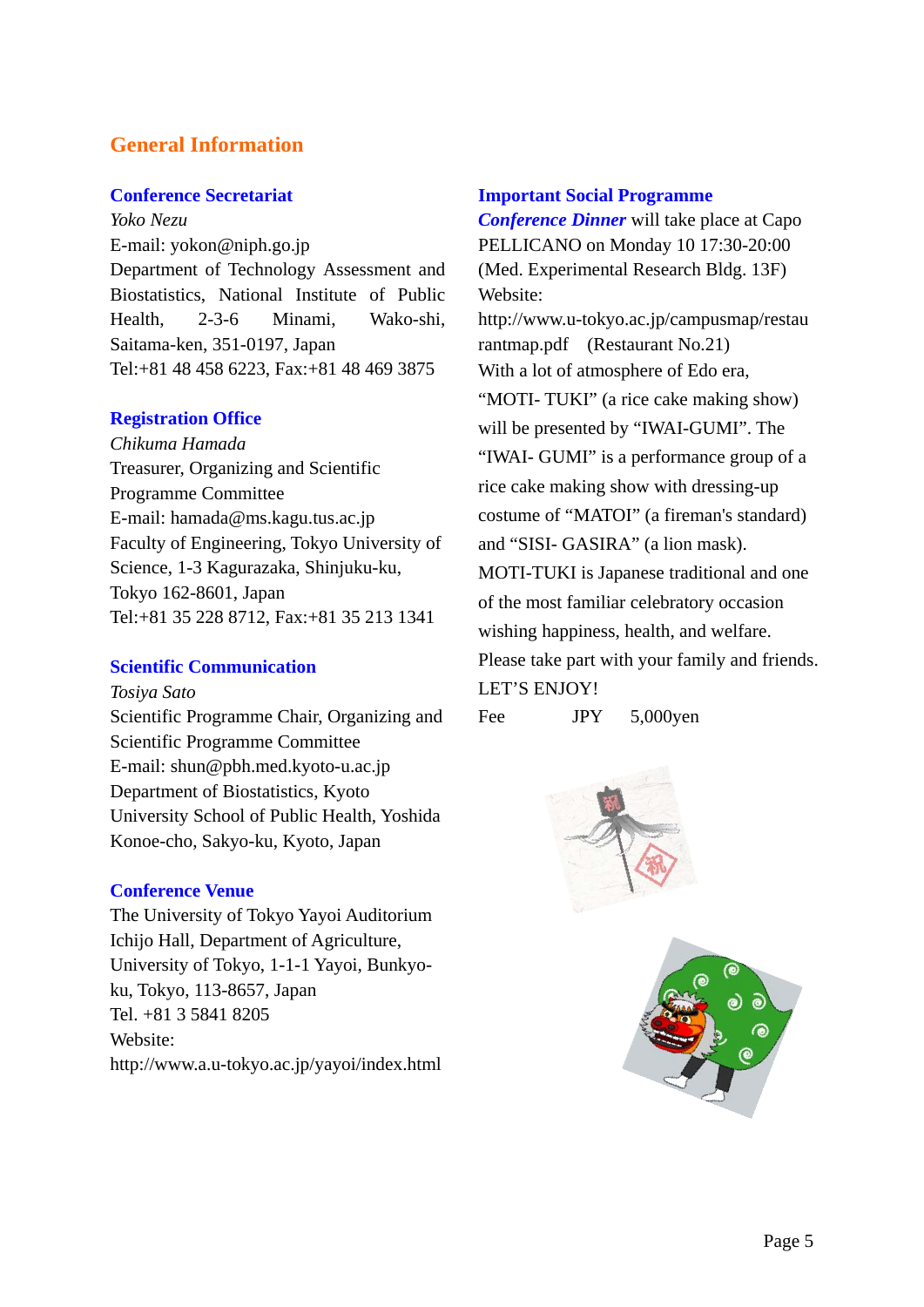## **General Information**

#### **Conference Secretariat**

*Yoko Nezu*  E-mail: yokon@niph.go.jp Department of Technology Assessment and Biostatistics, National Institute of Public Health, 2-3-6 Minami, Wako-shi, Saitama-ken, 351-0197, Japan Tel:+81 48 458 6223, Fax:+81 48 469 3875

#### **Registration Office**

*Chikuma Hamada* Treasurer, Organizing and Scientific Programme Committee E-mail: hamada@ms.kagu.tus.ac.jp Faculty of Engineering, Tokyo University of Science, 1-3 Kagurazaka, Shinjuku-ku, Tokyo 162-8601, Japan Tel:+81 35 228 8712, Fax:+81 35 213 1341

#### **Scientific Communication**

*Tosiya Sato* 

Scientific Programme Chair, Organizing and Scientific Programme Committee E-mail: shun@pbh.med.kyoto-u.ac.jp Department of Biostatistics, Kyoto University School of Public Health, Yoshida Konoe-cho, Sakyo-ku, Kyoto, Japan

### **Conference Venue**

The University of Tokyo Yayoi Auditorium Ichijo Hall, Department of Agriculture, University of Tokyo, 1-1-1 Yayoi, Bunkyoku, Tokyo, 113-8657, Japan Tel. +81 3 5841 8205 Website: http://www.a.u-tokyo.ac.jp/yayoi/index.html

#### **Important Social Programme**

*Conference Dinner* will take place at Capo PELLICANO on Monday 10 17:30-20:00 (Med. Experimental Research Bldg. 13F) Website: http://www.u-tokyo.ac.jp/campusmap/restau rantmap.pdf (Restaurant No.21) With a lot of atmosphere of Edo era, "MOTI- TUKI" (a rice cake making show) will be presented by "IWAI-GUMI". The "IWAI- GUMI" is a performance group of a rice cake making show with dressing-up costume of "MATOI" (a fireman's standard) and "SISI- GASIRA" (a lion mask). MOTI-TUKI is Japanese traditional and one of the most familiar celebratory occasion wishing happiness, health, and welfare. Please take part with your family and friends. LET'S ENJOY!

Fee JPY 5,000yen

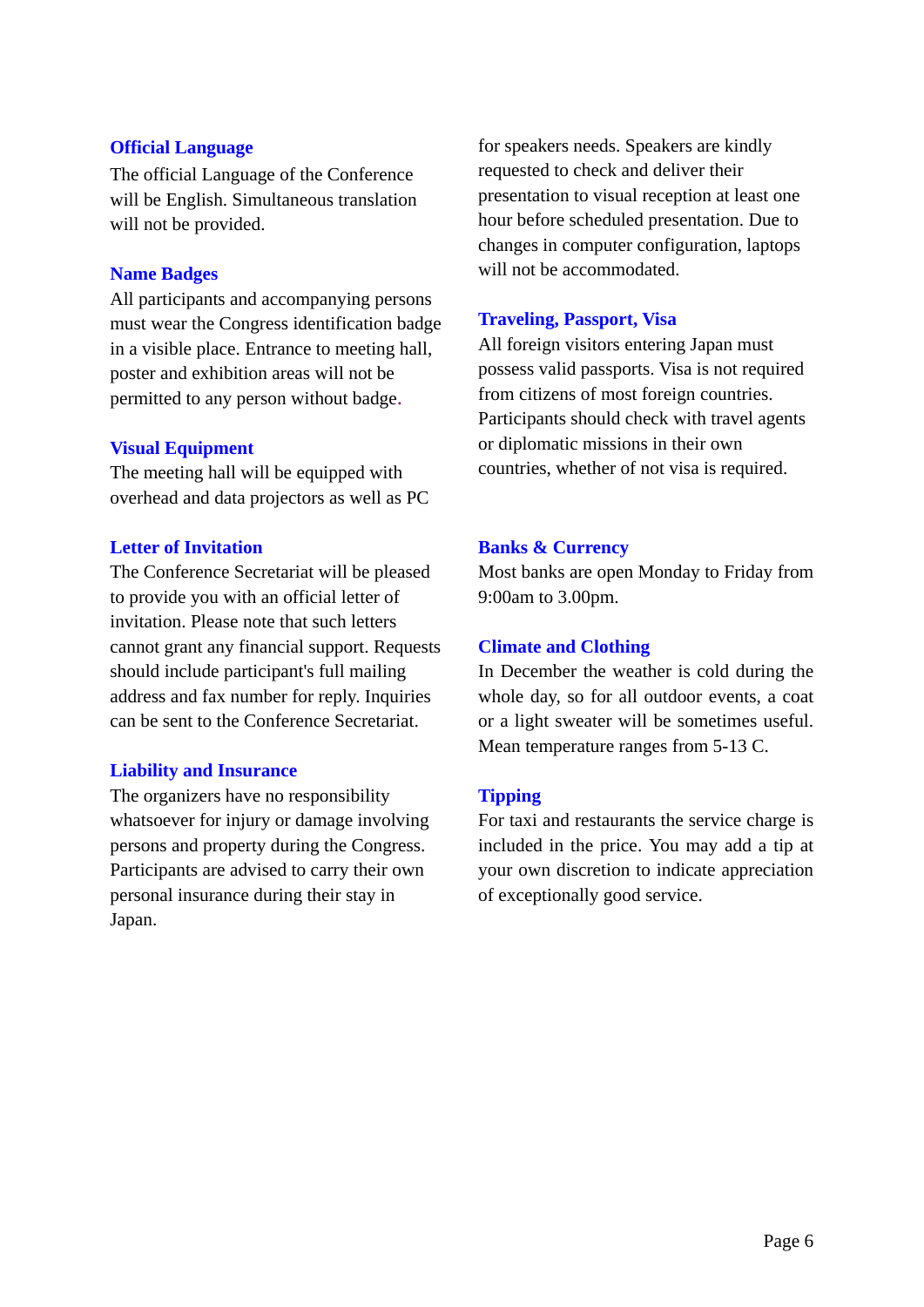#### **Official Language**

The official Language of the Conference will be English. Simultaneous translation will not be provided.

#### **Name Badges**

All participants and accompanying persons must wear the Congress identification badge in a visible place. Entrance to meeting hall, poster and exhibition areas will not be permitted to any person without badge.

#### **Visual Equipment**

The meeting hall will be equipped with overhead and data projectors as well as PC

#### **Letter of Invitation**

The Conference Secretariat will be pleased to provide you with an official letter of invitation. Please note that such letters cannot grant any financial support. Requests should include participant's full mailing address and fax number for reply. Inquiries can be sent to the Conference Secretariat.

#### **Liability and Insurance**

The organizers have no responsibility whatsoever for injury or damage involving persons and property during the Congress. Participants are advised to carry their own personal insurance during their stay in Japan.

for speakers needs. Speakers are kindly requested to check and deliver their presentation to visual reception at least one hour before scheduled presentation. Due to changes in computer configuration, laptops will not be accommodated.

#### **Traveling, Passport, Visa**

All foreign visitors entering Japan must possess valid passports. Visa is not required from citizens of most foreign countries. Participants should check with travel agents or diplomatic missions in their own countries, whether of not visa is required.

#### **Banks & Currency**

Most banks are open Monday to Friday from 9:00am to 3.00pm.

#### **Climate and Clothing**

In December the weather is cold during the whole day, so for all outdoor events, a coat or a light sweater will be sometimes useful. Mean temperature ranges from 5-13 C.

#### **Tipping**

For taxi and restaurants the service charge is included in the price. You may add a tip at your own discretion to indicate appreciation of exceptionally good service.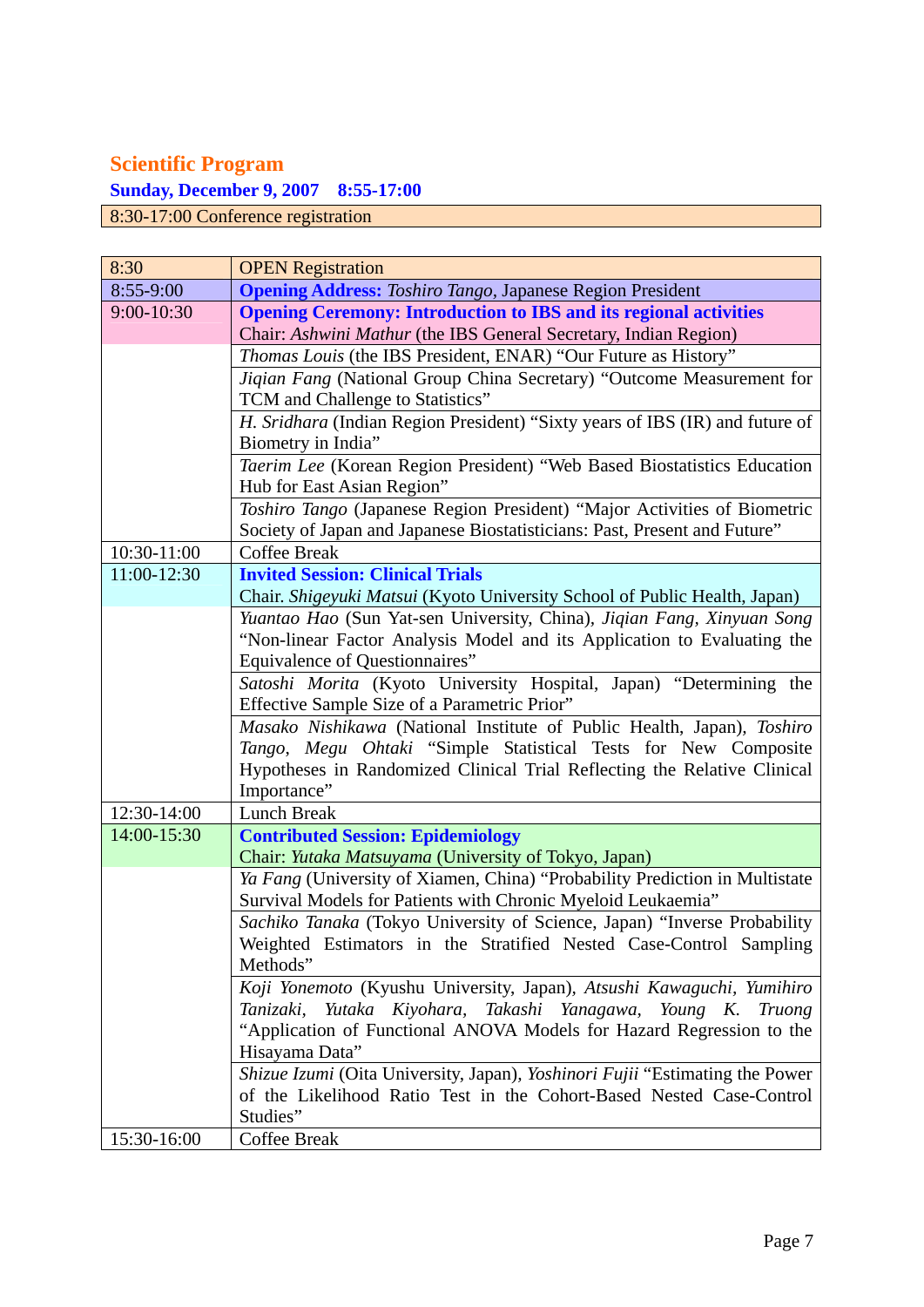## **Scientific Program**

**Sunday, December 9, 2007 8:55-17:00** 

8:30-17:00 Conference registration

| 8:30        | <b>OPEN</b> Registration                                                     |
|-------------|------------------------------------------------------------------------------|
| 8:55-9:00   | <b>Opening Address:</b> Toshiro Tango, Japanese Region President             |
| 9:00-10:30  | <b>Opening Ceremony: Introduction to IBS and its regional activities</b>     |
|             | Chair: Ashwini Mathur (the IBS General Secretary, Indian Region)             |
|             | Thomas Louis (the IBS President, ENAR) "Our Future as History"               |
|             | Jiqian Fang (National Group China Secretary) "Outcome Measurement for        |
|             | TCM and Challenge to Statistics"                                             |
|             | H. Sridhara (Indian Region President) "Sixty years of IBS (IR) and future of |
|             | Biometry in India"                                                           |
|             | Taerim Lee (Korean Region President) "Web Based Biostatistics Education      |
|             | Hub for East Asian Region"                                                   |
|             | Toshiro Tango (Japanese Region President) "Major Activities of Biometric     |
|             | Society of Japan and Japanese Biostatisticians: Past, Present and Future"    |
| 10:30-11:00 | <b>Coffee Break</b>                                                          |
| 11:00-12:30 | <b>Invited Session: Clinical Trials</b>                                      |
|             | Chair. Shigeyuki Matsui (Kyoto University School of Public Health, Japan)    |
|             | Yuantao Hao (Sun Yat-sen University, China), Jiqian Fang, Xinyuan Song       |
|             | "Non-linear Factor Analysis Model and its Application to Evaluating the      |
|             | Equivalence of Questionnaires"                                               |
|             | Satoshi Morita (Kyoto University Hospital, Japan) "Determining the           |
|             | Effective Sample Size of a Parametric Prior"                                 |
|             | Masako Nishikawa (National Institute of Public Health, Japan), Toshiro       |
|             | Tango, Megu Ohtaki "Simple Statistical Tests for New Composite               |
|             | Hypotheses in Randomized Clinical Trial Reflecting the Relative Clinical     |
|             | Importance"                                                                  |
| 12:30-14:00 | <b>Lunch Break</b>                                                           |
| 14:00-15:30 | <b>Contributed Session: Epidemiology</b>                                     |
|             | Chair: Yutaka Matsuyama (University of Tokyo, Japan)                         |
|             | Ya Fang (University of Xiamen, China) "Probability Prediction in Multistate  |
|             | Survival Models for Patients with Chronic Myeloid Leukaemia"                 |
|             | Sachiko Tanaka (Tokyo University of Science, Japan) "Inverse Probability     |
|             | Weighted Estimators in the Stratified Nested Case-Control Sampling           |
|             | Methods"                                                                     |
|             | Koji Yonemoto (Kyushu University, Japan), Atsushi Kawaguchi, Yumihiro        |
|             | Tanizaki, Yutaka Kiyohara, Takashi Yanagawa, Young K. Truong                 |
|             | "Application of Functional ANOVA Models for Hazard Regression to the         |
|             | Hisayama Data"                                                               |
|             | Shizue Izumi (Oita University, Japan), Yoshinori Fujii "Estimating the Power |
|             | of the Likelihood Ratio Test in the Cohort-Based Nested Case-Control         |
|             | Studies"                                                                     |
| 15:30-16:00 | Coffee Break                                                                 |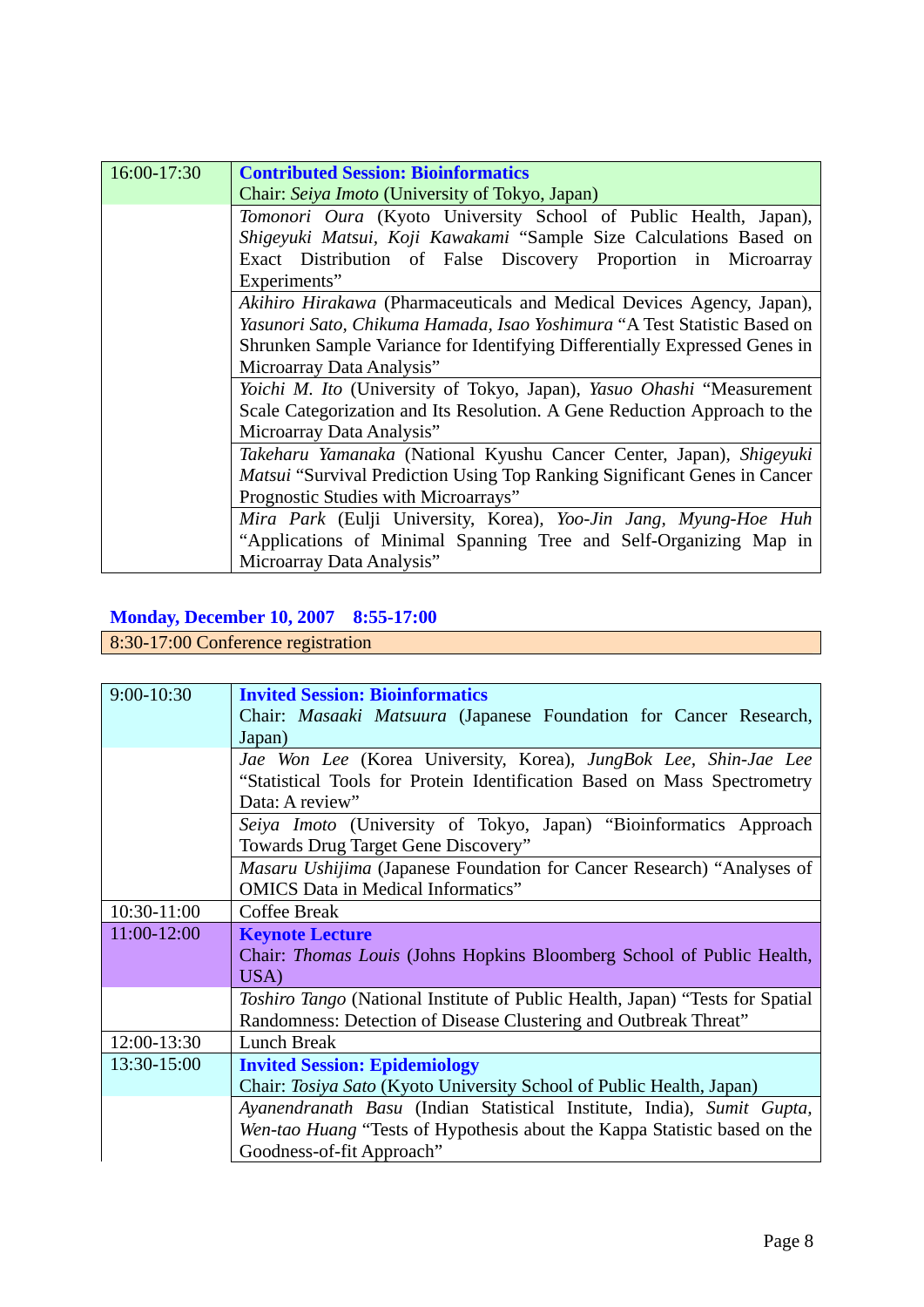| 16:00-17:30 | <b>Contributed Session: Bioinformatics</b>                                       |
|-------------|----------------------------------------------------------------------------------|
|             | Chair: Seiya Imoto (University of Tokyo, Japan)                                  |
|             | Tomonori Oura (Kyoto University School of Public Health, Japan),                 |
|             | Shigeyuki Matsui, Koji Kawakami "Sample Size Calculations Based on               |
|             | Exact Distribution of False Discovery Proportion in Microarray                   |
|             | Experiments"                                                                     |
|             | <i>Akihiro Hirakawa</i> (Pharmaceuticals and Medical Devices Agency, Japan),     |
|             | Yasunori Sato, Chikuma Hamada, Isao Yoshimura "A Test Statistic Based on         |
|             | Shrunken Sample Variance for Identifying Differentially Expressed Genes in       |
|             | Microarray Data Analysis"                                                        |
|             | Yoichi M. Ito (University of Tokyo, Japan), Yasuo Ohashi "Measurement            |
|             | Scale Categorization and Its Resolution. A Gene Reduction Approach to the        |
|             | Microarray Data Analysis"                                                        |
|             | Takeharu Yamanaka (National Kyushu Cancer Center, Japan), Shigeyuki              |
|             | <i>Matsui</i> "Survival Prediction Using Top Ranking Significant Genes in Cancer |
|             | Prognostic Studies with Microarrays"                                             |
|             | Mira Park (Eulji University, Korea), Yoo-Jin Jang, Myung-Hoe Huh                 |
|             | "Applications of Minimal Spanning Tree and Self-Organizing Map in                |
|             | Microarray Data Analysis"                                                        |

## **Monday, December 10, 2007 8:55-17:00**

# 8:30-17:00 Conference registration

| 9:00-10:30  | <b>Invited Session: Bioinformatics</b>                                               |
|-------------|--------------------------------------------------------------------------------------|
|             | Chair: <i>Masaaki Matsuura</i> (Japanese Foundation for Cancer Research,             |
|             |                                                                                      |
|             | Japan)                                                                               |
|             | Jae Won Lee (Korea University, Korea), JungBok Lee, Shin-Jae Lee                     |
|             | "Statistical Tools for Protein Identification Based on Mass Spectrometry             |
|             | Data: A review"                                                                      |
|             | Seiya Imoto (University of Tokyo, Japan) "Bioinformatics Approach                    |
|             | Towards Drug Target Gene Discovery"                                                  |
|             | Masaru Ushijima (Japanese Foundation for Cancer Research) "Analyses of               |
|             | <b>OMICS</b> Data in Medical Informatics"                                            |
| 10:30-11:00 | <b>Coffee Break</b>                                                                  |
| 11:00-12:00 | <b>Keynote Lecture</b>                                                               |
|             | Chair: <i>Thomas Louis</i> (Johns Hopkins Bloomberg School of Public Health,         |
|             | USA)                                                                                 |
|             | <i>Toshiro Tango</i> (National Institute of Public Health, Japan) "Tests for Spatial |
|             | Randomness: Detection of Disease Clustering and Outbreak Threat"                     |
| 12:00-13:30 | <b>Lunch Break</b>                                                                   |
| 13:30-15:00 | <b>Invited Session: Epidemiology</b>                                                 |
|             | Chair: Tosiya Sato (Kyoto University School of Public Health, Japan)                 |
|             | Ayanendranath Basu (Indian Statistical Institute, India), Sumit Gupta,               |
|             | Wen-tao Huang "Tests of Hypothesis about the Kappa Statistic based on the            |
|             | Goodness-of-fit Approach"                                                            |
|             |                                                                                      |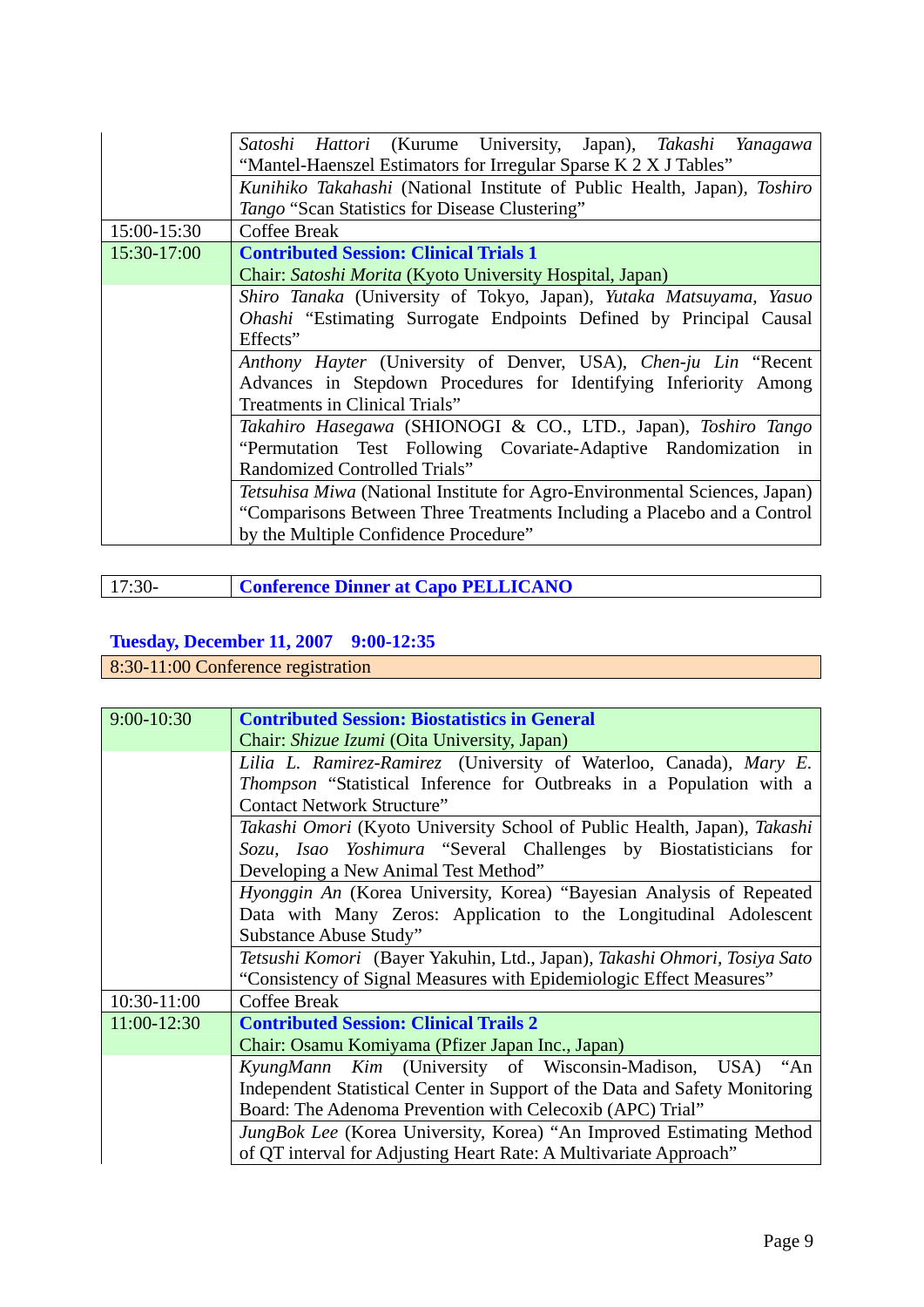|             | <i>Satoshi Hattori</i> (Kurume University, Japan), <i>Takashi</i><br>Yanagawa |
|-------------|-------------------------------------------------------------------------------|
|             |                                                                               |
|             | "Mantel-Haenszel Estimators for Irregular Sparse K 2 X J Tables"              |
|             | Kunihiko Takahashi (National Institute of Public Health, Japan), Toshiro      |
|             | Tango "Scan Statistics for Disease Clustering"                                |
| 15:00-15:30 | <b>Coffee Break</b>                                                           |
| 15:30-17:00 | <b>Contributed Session: Clinical Trials 1</b>                                 |
|             | Chair: Satoshi Morita (Kyoto University Hospital, Japan)                      |
|             | Shiro Tanaka (University of Tokyo, Japan), Yutaka Matsuyama, Yasuo            |
|             | <i>Ohashi</i> "Estimating Surrogate Endpoints Defined by Principal Causal     |
|             | Effects"                                                                      |
|             | Anthony Hayter (University of Denver, USA), Chen-ju Lin "Recent               |
|             | Advances in Stepdown Procedures for Identifying Inferiority Among             |
|             | Treatments in Clinical Trials"                                                |
|             | Takahiro Hasegawa (SHIONOGI & CO., LTD., Japan), Toshiro Tango                |
|             | "Permutation Test Following Covariate-Adaptive Randomization<br>in            |
|             | Randomized Controlled Trials"                                                 |
|             | Tetsuhisa Miwa (National Institute for Agro-Environmental Sciences, Japan)    |
|             | "Comparisons Between Three Treatments Including a Placebo and a Control       |
|             | by the Multiple Confidence Procedure"                                         |

| $17:30-$ | <b>Conference Dinner at Capo PELLICANO</b> |
|----------|--------------------------------------------|
|          |                                            |

## **Tuesday, December 11, 2007 9:00-12:35**

8:30-11:00 Conference registration

| 9:00-10:30    | <b>Contributed Session: Biostatistics in General</b>                        |
|---------------|-----------------------------------------------------------------------------|
|               | Chair: <i>Shizue Izumi</i> (Oita University, Japan)                         |
|               | Lilia L. Ramirez-Ramirez (University of Waterloo, Canada), Mary E.          |
|               | Thompson "Statistical Inference for Outbreaks in a Population with a        |
|               | <b>Contact Network Structure"</b>                                           |
|               | Takashi Omori (Kyoto University School of Public Health, Japan), Takashi    |
|               | Sozu, Isao Yoshimura "Several Challenges by Biostatisticians for            |
|               | Developing a New Animal Test Method"                                        |
|               | Hyonggin An (Korea University, Korea) "Bayesian Analysis of Repeated        |
|               | Data with Many Zeros: Application to the Longitudinal Adolescent            |
|               | Substance Abuse Study"                                                      |
|               | Tetsushi Komori (Bayer Yakuhin, Ltd., Japan), Takashi Ohmori, Tosiya Sato   |
|               | "Consistency of Signal Measures with Epidemiologic Effect Measures"         |
| 10:30-11:00   | <b>Coffee Break</b>                                                         |
| $11:00-12:30$ | <b>Contributed Session: Clinical Trails 2</b>                               |
|               | Chair: Osamu Komiyama (Pfizer Japan Inc., Japan)                            |
|               | KyungMann Kim (University of Wisconsin-Madison, USA)<br>"An                 |
|               | Independent Statistical Center in Support of the Data and Safety Monitoring |
|               | Board: The Adenoma Prevention with Celecoxib (APC) Trial"                   |
|               | <i>JungBok Lee</i> (Korea University, Korea) "An Improved Estimating Method |
|               | of QT interval for Adjusting Heart Rate: A Multivariate Approach"           |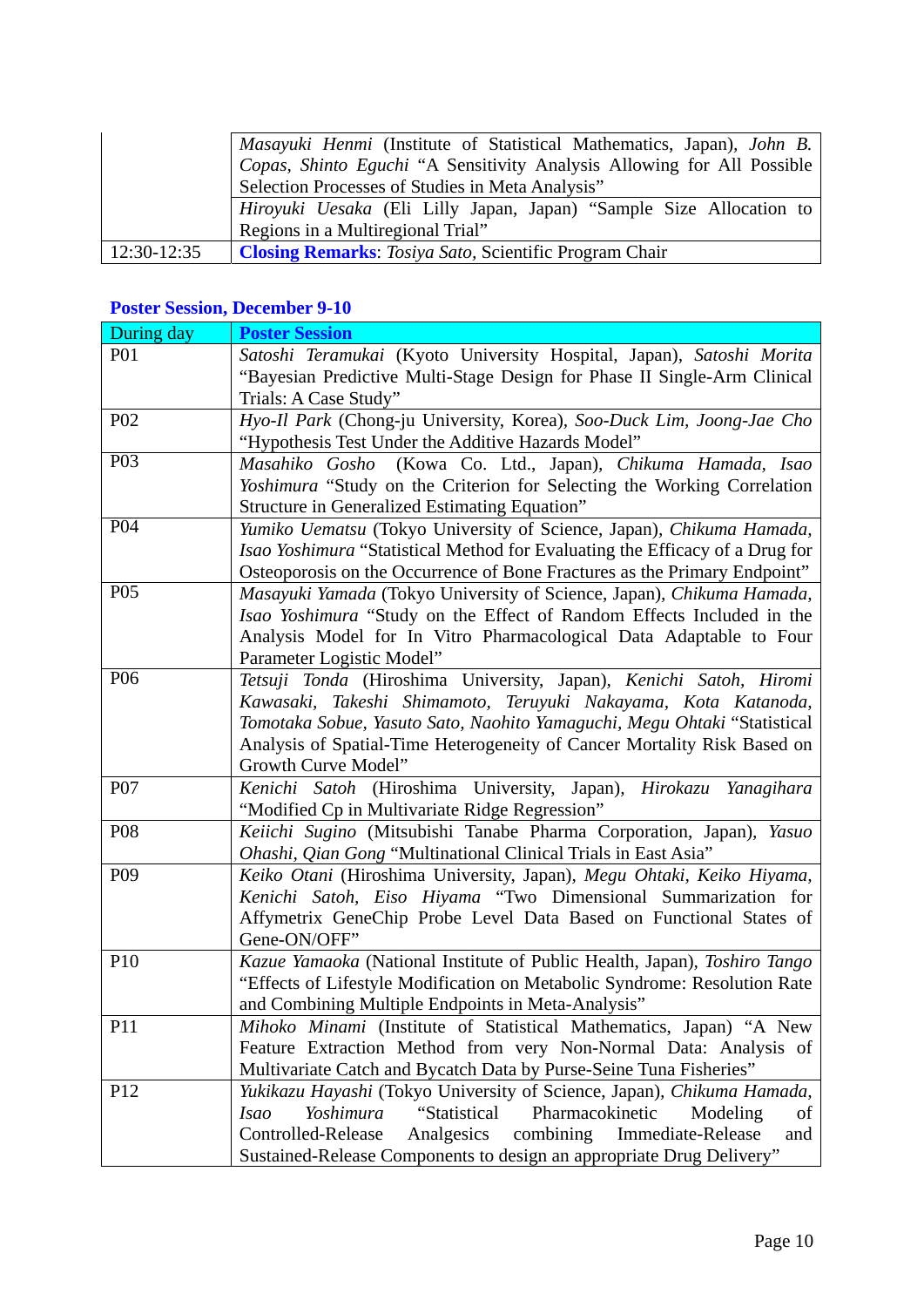|               | Masayuki Henmi (Institute of Statistical Mathematics, Japan), John B.<br>Copas, Shinto Eguchi "A Sensitivity Analysis Allowing for All Possible |
|---------------|-------------------------------------------------------------------------------------------------------------------------------------------------|
|               | Selection Processes of Studies in Meta Analysis"                                                                                                |
|               | <i>Hiroyuki Uesaka</i> (Eli Lilly Japan, Japan) "Sample Size Allocation to                                                                      |
|               | Regions in a Multiregional Trial"                                                                                                               |
| $12:30-12:35$ | <b>Closing Remarks:</b> Tosiya Sato, Scientific Program Chair                                                                                   |

## **Poster Session, December 9-10**

| During day      | <b>Poster Session</b>                                                         |
|-----------------|-------------------------------------------------------------------------------|
| <b>P01</b>      | Satoshi Teramukai (Kyoto University Hospital, Japan), Satoshi Morita          |
|                 | "Bayesian Predictive Multi-Stage Design for Phase II Single-Arm Clinical      |
|                 | Trials: A Case Study"                                                         |
| P <sub>02</sub> | Hyo-Il Park (Chong-ju University, Korea), Soo-Duck Lim, Joong-Jae Cho         |
|                 | "Hypothesis Test Under the Additive Hazards Model"                            |
| $P_{03}$        | Masahiko Gosho (Kowa Co. Ltd., Japan), Chikuma Hamada, Isao                   |
|                 | Yoshimura "Study on the Criterion for Selecting the Working Correlation       |
|                 | Structure in Generalized Estimating Equation"                                 |
| P04             | Yumiko Uematsu (Tokyo University of Science, Japan), Chikuma Hamada,          |
|                 | Isao Yoshimura "Statistical Method for Evaluating the Efficacy of a Drug for  |
|                 | Osteoporosis on the Occurrence of Bone Fractures as the Primary Endpoint"     |
| P <sub>05</sub> | Masayuki Yamada (Tokyo University of Science, Japan), Chikuma Hamada,         |
|                 | Isao Yoshimura "Study on the Effect of Random Effects Included in the         |
|                 | Analysis Model for In Vitro Pharmacological Data Adaptable to Four            |
|                 | Parameter Logistic Model"                                                     |
| P <sub>06</sub> | Tetsuji Tonda (Hiroshima University, Japan), Kenichi Satoh, Hiromi            |
|                 | Kawasaki, Takeshi Shimamoto, Teruyuki Nakayama, Kota Katanoda,                |
|                 | Tomotaka Sobue, Yasuto Sato, Naohito Yamaguchi, Megu Ohtaki "Statistical      |
|                 | Analysis of Spatial-Time Heterogeneity of Cancer Mortality Risk Based on      |
|                 | Growth Curve Model"                                                           |
| P07             | Kenichi Satoh (Hiroshima University, Japan), Hirokazu Yanagihara              |
|                 | "Modified Cp in Multivariate Ridge Regression"                                |
| P <sub>08</sub> | Keiichi Sugino (Mitsubishi Tanabe Pharma Corporation, Japan), Yasuo           |
|                 | Ohashi, Qian Gong "Multinational Clinical Trials in East Asia"                |
| P <sub>09</sub> | Keiko Otani (Hiroshima University, Japan), Megu Ohtaki, Keiko Hiyama,         |
|                 | Kenichi Satoh, Eiso Hiyama "Two Dimensional Summarization for                 |
|                 | Affymetrix GeneChip Probe Level Data Based on Functional States of            |
|                 | Gene-ON/OFF"                                                                  |
| P <sub>10</sub> | Kazue Yamaoka (National Institute of Public Health, Japan), Toshiro Tango     |
|                 | "Effects of Lifestyle Modification on Metabolic Syndrome: Resolution Rate     |
|                 | and Combining Multiple Endpoints in Meta-Analysis"                            |
| P11             | <i>Mihoko Minami</i> (Institute of Statistical Mathematics, Japan) "A New     |
|                 | Feature Extraction Method from very Non-Normal Data: Analysis of              |
|                 | Multivariate Catch and Bycatch Data by Purse-Seine Tuna Fisheries"            |
| P <sub>12</sub> | Yukikazu Hayashi (Tokyo University of Science, Japan), Chikuma Hamada,        |
|                 | Yoshimura<br>"Statistical<br>Pharmacokinetic<br><i>Isao</i><br>Modeling<br>of |
|                 | Analgesics<br>combining<br>Controlled-Release<br>Immediate-Release<br>and     |
|                 | Sustained-Release Components to design an appropriate Drug Delivery"          |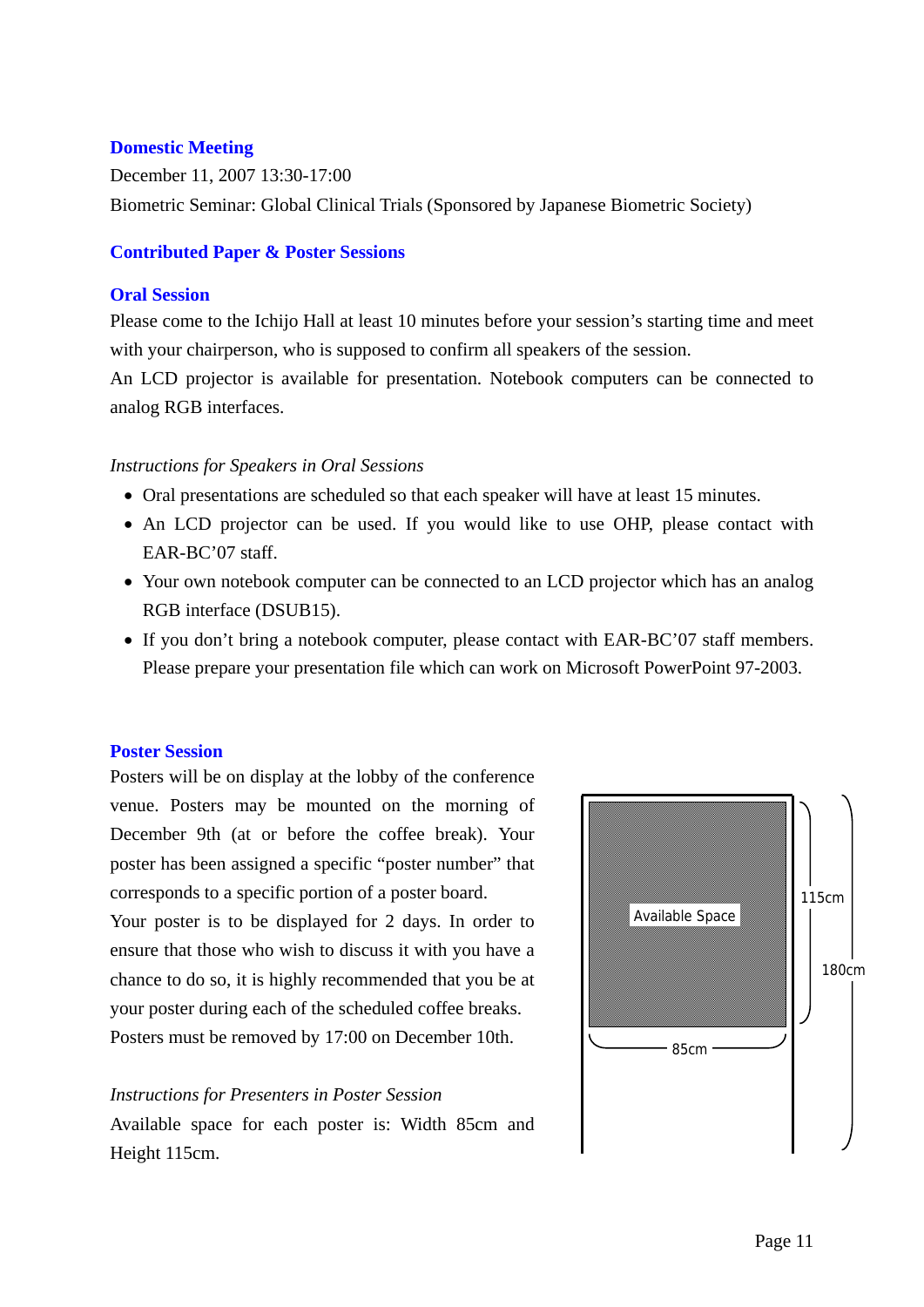#### **Domestic Meeting**

December 11, 2007 13:30-17:00 Biometric Seminar: Global Clinical Trials (Sponsored by Japanese Biometric Society)

#### **Contributed Paper & Poster Sessions**

#### **Oral Session**

Please come to the Ichijo Hall at least 10 minutes before your session's starting time and meet with your chairperson, who is supposed to confirm all speakers of the session.

An LCD projector is available for presentation. Notebook computers can be connected to analog RGB interfaces.

#### *Instructions for Speakers in Oral Sessions*

- Oral presentations are scheduled so that each speaker will have at least 15 minutes.
- An LCD projector can be used. If you would like to use OHP, please contact with EAR-BC'07 staff.
- Your own notebook computer can be connected to an LCD projector which has an analog RGB interface (DSUB15).
- If you don't bring a notebook computer, please contact with EAR-BC'07 staff members. Please prepare your presentation file which can work on Microsoft PowerPoint 97-2003.

#### **Poster Session**

Posters will be on display at the lobby of the conference venue. Posters may be mounted on the morning of December 9th (at or before the coffee break). Your poster has been assigned a specific "poster number" that corresponds to a specific portion of a poster board.

Your poster is to be displayed for 2 days. In order to ensure that those who wish to discuss it with you have a chance to do so, it is highly recommended that you be at your poster during each of the scheduled coffee breaks. Posters must be removed by 17:00 on December 10th.

#### *Instructions for Presenters in Poster Session*

Available space for each poster is: Width 85cm and Height 115cm.